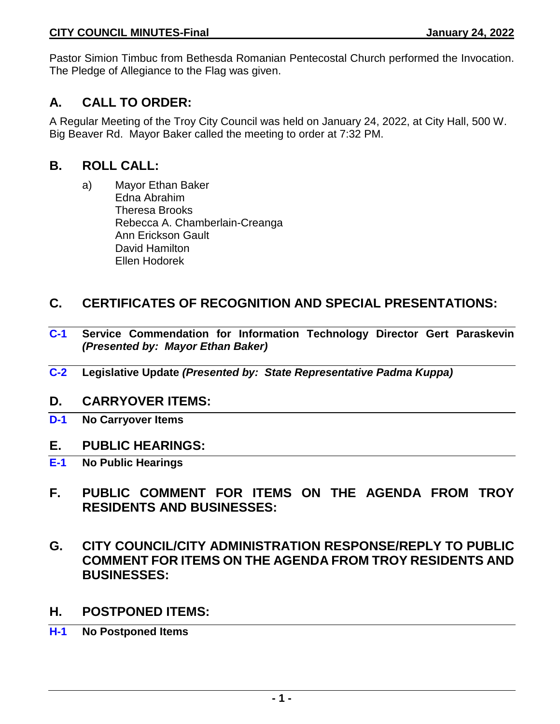Pastor Simion Timbuc from Bethesda Romanian Pentecostal Church performed the Invocation. The Pledge of Allegiance to the Flag was given.

# **A. CALL TO ORDER:**

A Regular Meeting of the Troy City Council was held on January 24, 2022, at City Hall, 500 W. Big Beaver Rd. Mayor Baker called the meeting to order at 7:32 PM.

# **B. ROLL CALL:**

a) Mayor Ethan Baker Edna Abrahim Theresa Brooks Rebecca A. Chamberlain-Creanga Ann Erickson Gault David Hamilton Ellen Hodorek

# **C. CERTIFICATES OF RECOGNITION AND SPECIAL PRESENTATIONS:**

- **C-1 Service Commendation for Information Technology Director Gert Paraskevin**  *(Presented by: Mayor Ethan Baker)*
- **C-2 Legislative Update** *(Presented by: State Representative Padma Kuppa)*

# **D. CARRYOVER ITEMS:**

**D-1 No Carryover Items**

# **E. PUBLIC HEARINGS:**

- **E-1 No Public Hearings**
- **F. PUBLIC COMMENT FOR ITEMS ON THE AGENDA FROM TROY RESIDENTS AND BUSINESSES:**
- **G. CITY COUNCIL/CITY ADMINISTRATION RESPONSE/REPLY TO PUBLIC COMMENT FOR ITEMS ON THE AGENDA FROM TROY RESIDENTS AND BUSINESSES:**
- **H. POSTPONED ITEMS:**
- **H-1 No Postponed Items**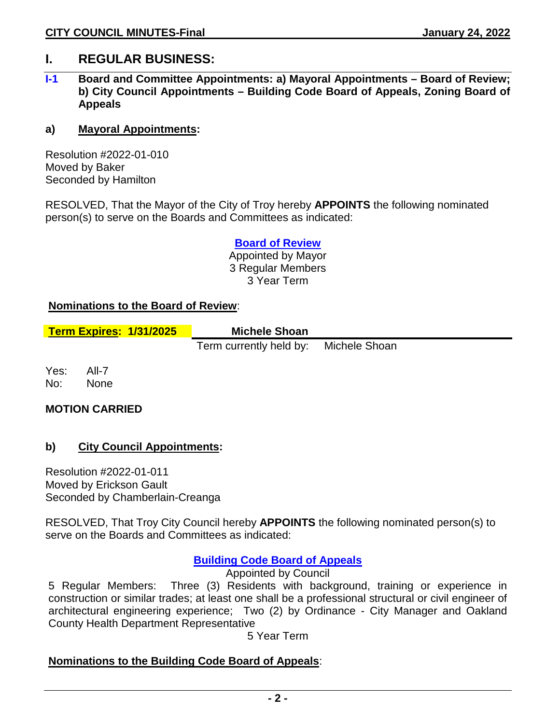# **I. REGULAR BUSINESS:**

# **I-1 Board and Committee Appointments: a) Mayoral Appointments – Board of Review; b) City Council Appointments – Building Code Board of Appeals, Zoning Board of Appeals**

#### **a) Mayoral Appointments:**

Resolution #2022-01-010 Moved by Baker Seconded by Hamilton

RESOLVED, That the Mayor of the City of Troy hereby **APPOINTS** the following nominated person(s) to serve on the Boards and Committees as indicated:

> **Board of Review** Appointed by Mayor 3 Regular Members 3 Year Term

#### **Nominations to the Board of Review**:

| <b>Term Expires: 1/31/2025</b> | <b>Michele Shoan</b>                  |  |
|--------------------------------|---------------------------------------|--|
|                                | Term currently held by: Michele Shoan |  |

Yes: All-7 No: None

# **MOTION CARRIED**

# **b) City Council Appointments:**

Resolution #2022-01-011 Moved by Erickson Gault Seconded by Chamberlain-Creanga

RESOLVED, That Troy City Council hereby **APPOINTS** the following nominated person(s) to serve on the Boards and Committees as indicated:

# **Building Code Board of Appeals**

Appointed by Council

5 Regular Members: Three (3) Residents with background, training or experience in construction or similar trades; at least one shall be a professional structural or civil engineer of architectural engineering experience; Two (2) by Ordinance - City Manager and Oakland County Health Department Representative

5 Year Term

# **Nominations to the Building Code Board of Appeals**: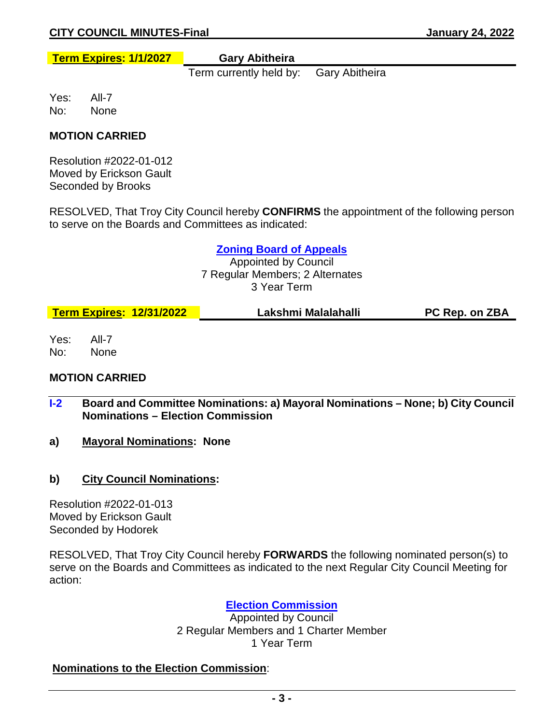**Term Expires: 1/1/2027 Gary Abitheira**

Term currently held by: Gary Abitheira

Yes: All-7 No: None

# **MOTION CARRIED**

Resolution #2022-01-012 Moved by Erickson Gault Seconded by Brooks

RESOLVED, That Troy City Council hereby **CONFIRMS** the appointment of the following person to serve on the Boards and Committees as indicated:

#### **Zoning Board of Appeals**

Appointed by Council 7 Regular Members; 2 Alternates 3 Year Term

| <b>Term Expires: 12/31/2022</b> | Lakshmi Malalahalli | <b>PC Rep. on ZBA</b> |
|---------------------------------|---------------------|-----------------------|
|---------------------------------|---------------------|-----------------------|

Yes: All-7 No: None

# **MOTION CARRIED**

- **I-2 Board and Committee Nominations: a) Mayoral Nominations – None; b) City Council Nominations – Election Commission**
- **a) Mayoral Nominations: None**
- **b) City Council Nominations:**

Resolution #2022-01-013 Moved by Erickson Gault Seconded by Hodorek

RESOLVED, That Troy City Council hereby **FORWARDS** the following nominated person(s) to serve on the Boards and Committees as indicated to the next Regular City Council Meeting for action:

# **Election Commission**

Appointed by Council 2 Regular Members and 1 Charter Member 1 Year Term

# **Nominations to the Election Commission**: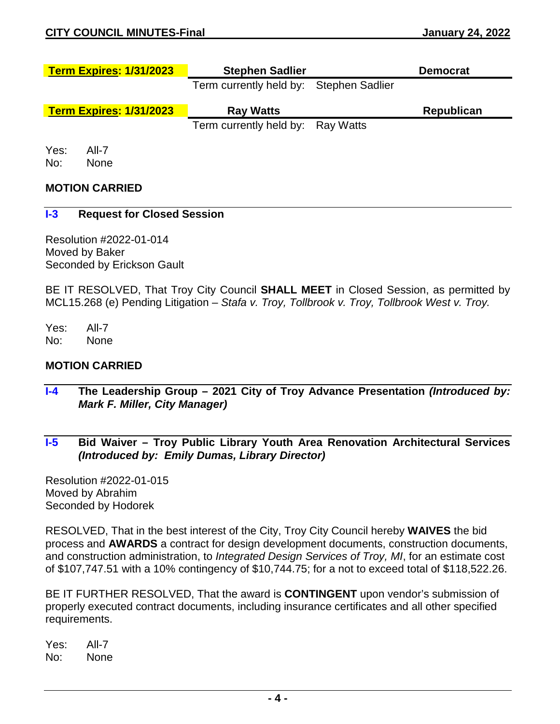| <b>Term Expires: 1/31/2023</b> | <b>Stephen Sadlier</b>                  | <b>Democrat</b>   |
|--------------------------------|-----------------------------------------|-------------------|
|                                | Term currently held by: Stephen Sadlier |                   |
| <b>Term Expires: 1/31/2023</b> | <b>Ray Watts</b>                        | <b>Republican</b> |
|                                | Term currently held by: Ray Watts       |                   |
|                                |                                         |                   |

No: None

# **MOTION CARRIED**

#### **I-3 Request for Closed Session**

Resolution #2022-01-014 Moved by Baker Seconded by Erickson Gault

BE IT RESOLVED, That Troy City Council **SHALL MEET** in Closed Session, as permitted by MCL15.268 (e) Pending Litigation – *Stafa v. Troy, Tollbrook v. Troy, Tollbrook West v. Troy.*

Yes: All-7 No: None

#### **MOTION CARRIED**

- **I-4 The Leadership Group – 2021 City of Troy Advance Presentation** *(Introduced by: Mark F. Miller, City Manager)*
- **I-5 Bid Waiver – Troy Public Library Youth Area Renovation Architectural Services** *(Introduced by: Emily Dumas, Library Director)*

Resolution #2022-01-015 Moved by Abrahim Seconded by Hodorek

RESOLVED, That in the best interest of the City, Troy City Council hereby **WAIVES** the bid process and **AWARDS** a contract for design development documents, construction documents, and construction administration, to *Integrated Design Services of Troy, MI*, for an estimate cost of \$107,747.51 with a 10% contingency of \$10,744.75; for a not to exceed total of \$118,522.26.

BE IT FURTHER RESOLVED, That the award is **CONTINGENT** upon vendor's submission of properly executed contract documents, including insurance certificates and all other specified requirements.

Yes: All-7 No: None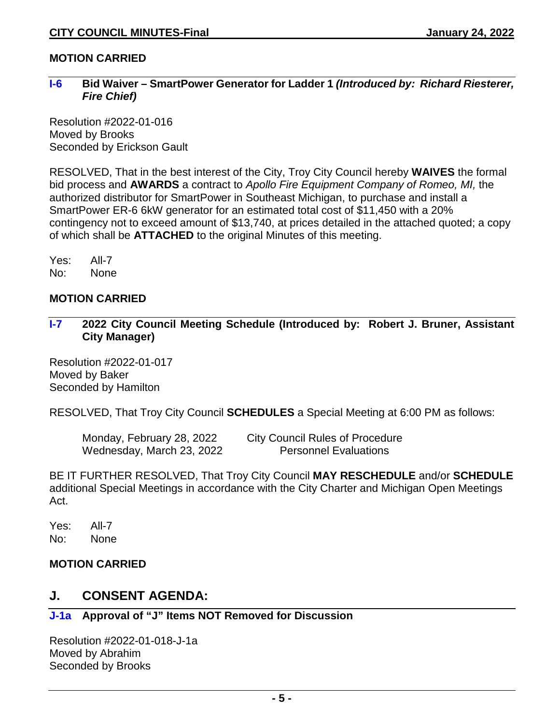# **MOTION CARRIED**

#### **I-6 Bid Waiver – SmartPower Generator for Ladder 1** *(Introduced by: Richard Riesterer, Fire Chief)*

Resolution #2022-01-016 Moved by Brooks Seconded by Erickson Gault

RESOLVED, That in the best interest of the City, Troy City Council hereby **WAIVES** the formal bid process and **AWARDS** a contract to *Apollo Fire Equipment Company of Romeo, MI,* the authorized distributor for SmartPower in Southeast Michigan, to purchase and install a SmartPower ER-6 6kW generator for an estimated total cost of \$11,450 with a 20% contingency not to exceed amount of \$13,740, at prices detailed in the attached quoted; a copy of which shall be **ATTACHED** to the original Minutes of this meeting.

Yes: All-7 No: None

# **MOTION CARRIED**

**I-7 2022 City Council Meeting Schedule (Introduced by: Robert J. Bruner, Assistant City Manager)** 

Resolution #2022-01-017 Moved by Baker Seconded by Hamilton

RESOLVED, That Troy City Council **SCHEDULES** a Special Meeting at 6:00 PM as follows:

Wednesday, March 23, 2022 Personnel Evaluations

Monday, February 28, 2022 City Council Rules of Procedure

BE IT FURTHER RESOLVED, That Troy City Council **MAY RESCHEDULE** and/or **SCHEDULE** additional Special Meetings in accordance with the City Charter and Michigan Open Meetings Act.

Yes: All-7 No: None

# **MOTION CARRIED**

# **J. CONSENT AGENDA:**

# **J-1a Approval of "J" Items NOT Removed for Discussion**

Resolution #2022-01-018-J-1a Moved by Abrahim Seconded by Brooks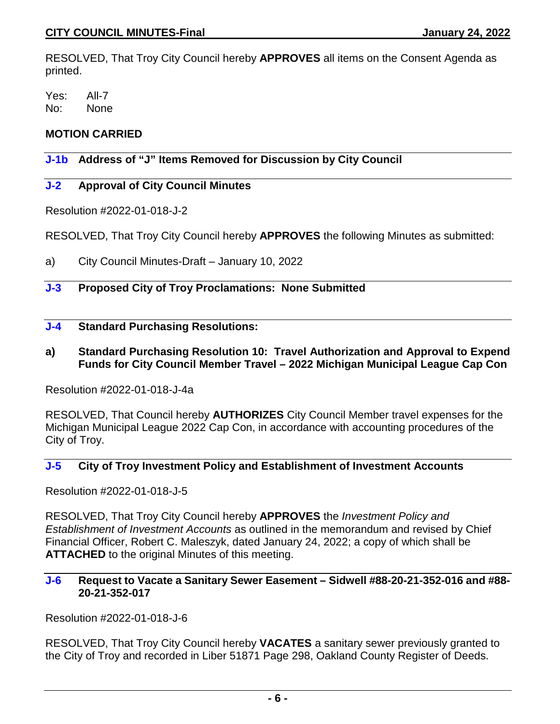RESOLVED, That Troy City Council hereby **APPROVES** all items on the Consent Agenda as printed.

Yes: All-7 No: None

# **MOTION CARRIED**

# **J-1b Address of "J" Items Removed for Discussion by City Council**

# **J-2 Approval of City Council Minutes**

Resolution #2022-01-018-J-2

RESOLVED, That Troy City Council hereby **APPROVES** the following Minutes as submitted:

a) City Council Minutes-Draft – January 10, 2022

# **J-3 Proposed City of Troy Proclamations: None Submitted**

# **J-4 Standard Purchasing Resolutions:**

**a) Standard Purchasing Resolution 10: Travel Authorization and Approval to Expend Funds for City Council Member Travel – 2022 Michigan Municipal League Cap Con**

Resolution #2022-01-018-J-4a

RESOLVED, That Council hereby **AUTHORIZES** City Council Member travel expenses for the Michigan Municipal League 2022 Cap Con, in accordance with accounting procedures of the City of Troy.

# **J-5 City of Troy Investment Policy and Establishment of Investment Accounts**

Resolution #2022-01-018-J-5

RESOLVED, That Troy City Council hereby **APPROVES** the *Investment Policy and Establishment of Investment Accounts* as outlined in the memorandum and revised by Chief Financial Officer, Robert C. Maleszyk, dated January 24, 2022; a copy of which shall be **ATTACHED** to the original Minutes of this meeting.

#### **J-6 Request to Vacate a Sanitary Sewer Easement – Sidwell #88-20-21-352-016 and #88- 20-21-352-017**

Resolution #2022-01-018-J-6

RESOLVED, That Troy City Council hereby **VACATES** a sanitary sewer previously granted to the City of Troy and recorded in Liber 51871 Page 298, Oakland County Register of Deeds.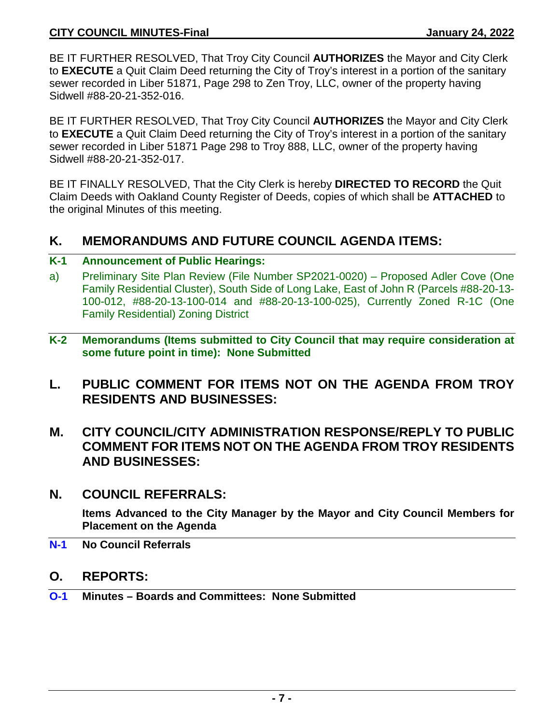BE IT FURTHER RESOLVED, That Troy City Council **AUTHORIZES** the Mayor and City Clerk to **EXECUTE** a Quit Claim Deed returning the City of Troy's interest in a portion of the sanitary sewer recorded in Liber 51871, Page 298 to Zen Troy, LLC, owner of the property having Sidwell #88-20-21-352-016.

BE IT FURTHER RESOLVED, That Troy City Council **AUTHORIZES** the Mayor and City Clerk to **EXECUTE** a Quit Claim Deed returning the City of Troy's interest in a portion of the sanitary sewer recorded in Liber 51871 Page 298 to Troy 888, LLC, owner of the property having Sidwell #88-20-21-352-017.

BE IT FINALLY RESOLVED, That the City Clerk is hereby **DIRECTED TO RECORD** the Quit Claim Deeds with Oakland County Register of Deeds, copies of which shall be **ATTACHED** to the original Minutes of this meeting.

# **K. MEMORANDUMS AND FUTURE COUNCIL AGENDA ITEMS:**

# **K-1 Announcement of Public Hearings:**

- a) Preliminary Site Plan Review (File Number SP2021-0020) Proposed Adler Cove (One Family Residential Cluster), South Side of Long Lake, East of John R (Parcels #88-20-13- 100-012, #88-20-13-100-014 and #88-20-13-100-025), Currently Zoned R-1C (One Family Residential) Zoning District
- **K-2 Memorandums (Items submitted to City Council that may require consideration at some future point in time): None Submitted**
- **L. PUBLIC COMMENT FOR ITEMS NOT ON THE AGENDA FROM TROY RESIDENTS AND BUSINESSES:**
- **M. CITY COUNCIL/CITY ADMINISTRATION RESPONSE/REPLY TO PUBLIC COMMENT FOR ITEMS NOT ON THE AGENDA FROM TROY RESIDENTS AND BUSINESSES:**
- **N. COUNCIL REFERRALS:**

**Items Advanced to the City Manager by the Mayor and City Council Members for Placement on the Agenda**

- **N-1 No Council Referrals**
- **O. REPORTS:**
- **O-1 Minutes – Boards and Committees: None Submitted**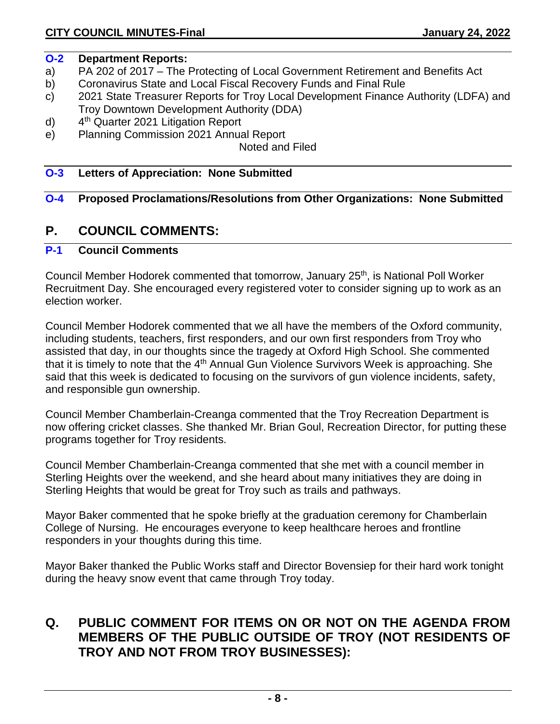# **O-2 Department Reports:**

- a) PA 202 of 2017 The Protecting of Local Government Retirement and Benefits Act
- b) Coronavirus State and Local Fiscal Recovery Funds and Final Rule
- c) 2021 State Treasurer Reports for Troy Local Development Finance Authority (LDFA) and Troy Downtown Development Authority (DDA)
- d) 4th Quarter 2021 Litigation Report
- e) Planning Commission 2021 Annual Report

Noted and Filed

# **O-3 Letters of Appreciation: None Submitted**

# **O-4 Proposed Proclamations/Resolutions from Other Organizations: None Submitted**

# **P. COUNCIL COMMENTS:**

# **P-1 Council Comments**

Council Member Hodorek commented that tomorrow, January 25<sup>th</sup>, is National Poll Worker Recruitment Day. She encouraged every registered voter to consider signing up to work as an election worker.

Council Member Hodorek commented that we all have the members of the Oxford community, including students, teachers, first responders, and our own first responders from Troy who assisted that day, in our thoughts since the tragedy at Oxford High School. She commented that it is timely to note that the 4th Annual Gun Violence Survivors Week is approaching. She said that this week is dedicated to focusing on the survivors of gun violence incidents, safety, and responsible gun ownership.

Council Member Chamberlain-Creanga commented that the Troy Recreation Department is now offering cricket classes. She thanked Mr. Brian Goul, Recreation Director, for putting these programs together for Troy residents.

Council Member Chamberlain-Creanga commented that she met with a council member in Sterling Heights over the weekend, and she heard about many initiatives they are doing in Sterling Heights that would be great for Troy such as trails and pathways.

Mayor Baker commented that he spoke briefly at the graduation ceremony for Chamberlain College of Nursing. He encourages everyone to keep healthcare heroes and frontline responders in your thoughts during this time.

Mayor Baker thanked the Public Works staff and Director Bovensiep for their hard work tonight during the heavy snow event that came through Troy today.

# **Q. PUBLIC COMMENT FOR ITEMS ON OR NOT ON THE AGENDA FROM MEMBERS OF THE PUBLIC OUTSIDE OF TROY (NOT RESIDENTS OF TROY AND NOT FROM TROY BUSINESSES):**